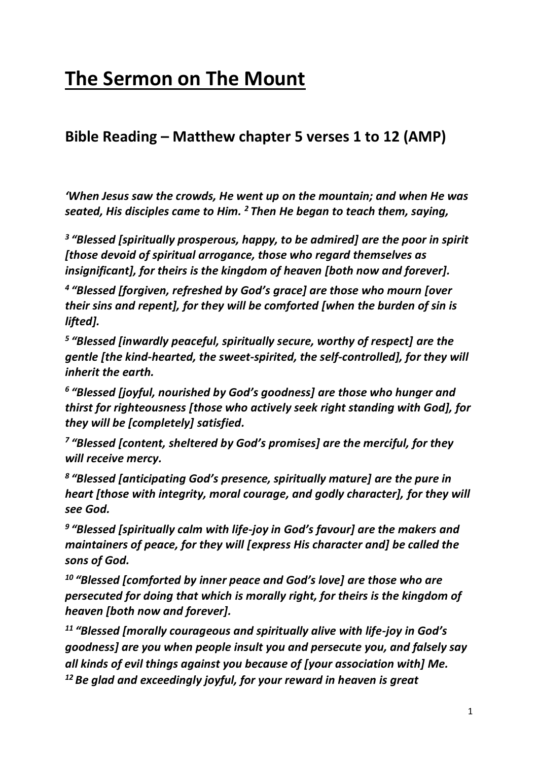# **The Sermon on The Mount**

## **Bible Reading – Matthew chapter 5 verses 1 to 12 (AMP)**

*'When Jesus saw the crowds, He went up on the mountain; and when He was seated, His disciples came to Him. <sup>2</sup> Then He began to teach them, saying,*

*3 "Blessed [spiritually prosperous, happy, to be admired] are the poor in spirit [those devoid of spiritual arrogance, those who regard themselves as insignificant], for theirs is the kingdom of heaven [both now and forever].*

*4 "Blessed [forgiven, refreshed by God's grace] are those who mourn [over their sins and repent], for they will be comforted [when the burden of sin is lifted].*

*5 "Blessed [inwardly peaceful, spiritually secure, worthy of respect] are the gentle [the kind-hearted, the sweet-spirited, the self-controlled], for they will inherit the earth.*

*6 "Blessed [joyful, nourished by God's goodness] are those who hunger and thirst for righteousness [those who actively seek right standing with God], for they will be [completely] satisfied.*

*7 "Blessed [content, sheltered by God's promises] are the merciful, for they will receive mercy.*

*8 "Blessed [anticipating God's presence, spiritually mature] are the pure in heart [those with integrity, moral courage, and godly character], for they will see God.*

*9 "Blessed [spiritually calm with life-joy in God's favour] are the makers and maintainers of peace, for they will [express His character and] be called the sons of God.*

*<sup>10</sup> "Blessed [comforted by inner peace and God's love] are those who are persecuted for doing that which is morally right, for theirs is the kingdom of heaven [both now and forever].*

*<sup>11</sup> "Blessed [morally courageous and spiritually alive with life-joy in God's goodness] are you when people insult you and persecute you, and falsely say all kinds of evil things against you because of [your association with] Me. <sup>12</sup> Be glad and exceedingly joyful, for your reward in heaven is great*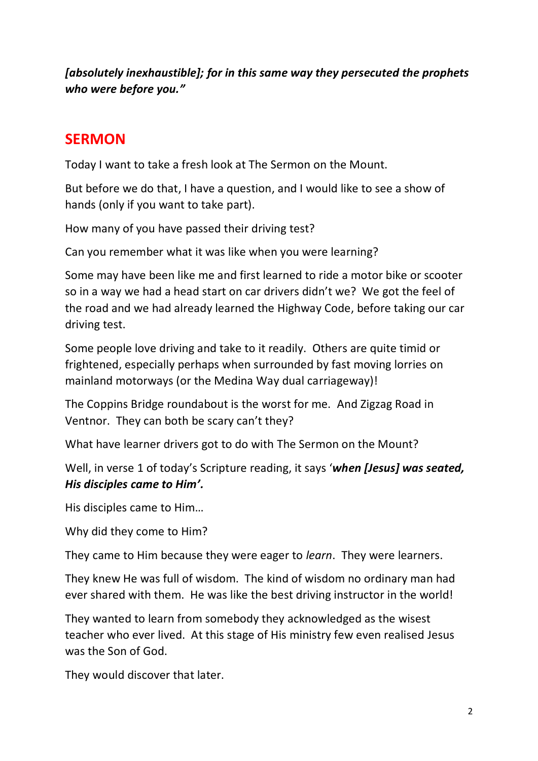*[absolutely inexhaustible]; for in this same way they persecuted the prophets who were before you."*

## **SERMON**

Today I want to take a fresh look at The Sermon on the Mount.

But before we do that, I have a question, and I would like to see a show of hands (only if you want to take part).

How many of you have passed their driving test?

Can you remember what it was like when you were learning?

Some may have been like me and first learned to ride a motor bike or scooter so in a way we had a head start on car drivers didn't we? We got the feel of the road and we had already learned the Highway Code, before taking our car driving test.

Some people love driving and take to it readily. Others are quite timid or frightened, especially perhaps when surrounded by fast moving lorries on mainland motorways (or the Medina Way dual carriageway)!

The Coppins Bridge roundabout is the worst for me. And Zigzag Road in Ventnor. They can both be scary can't they?

What have learner drivers got to do with The Sermon on the Mount?

Well, in verse 1 of today's Scripture reading, it says '*when [Jesus] was seated, His disciples came to Him'.*

His disciples came to Him…

Why did they come to Him?

They came to Him because they were eager to *learn*. They were learners.

They knew He was full of wisdom. The kind of wisdom no ordinary man had ever shared with them. He was like the best driving instructor in the world!

They wanted to learn from somebody they acknowledged as the wisest teacher who ever lived. At this stage of His ministry few even realised Jesus was the Son of God.

They would discover that later.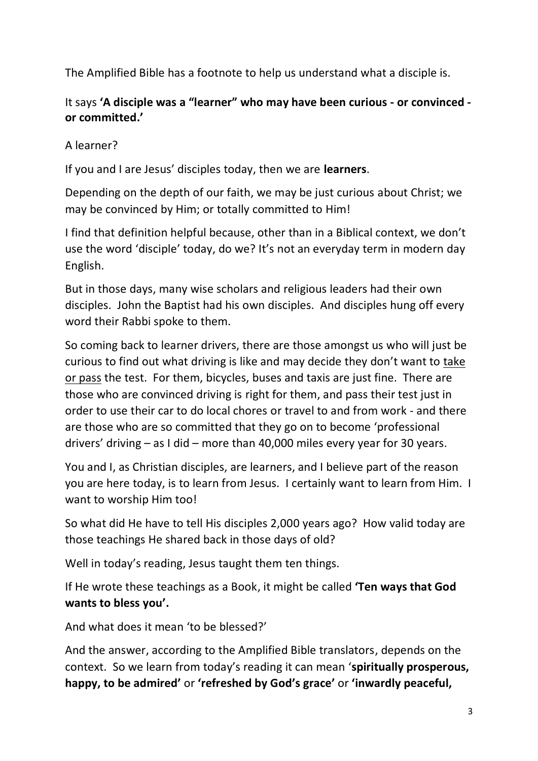The Amplified Bible has a footnote to help us understand what a disciple is.

#### It says **'A disciple was a "learner" who may have been curious - or convinced or committed.'**

A learner?

If you and I are Jesus' disciples today, then we are **learners**.

Depending on the depth of our faith, we may be just curious about Christ; we may be convinced by Him; or totally committed to Him!

I find that definition helpful because, other than in a Biblical context, we don't use the word 'disciple' today, do we? It's not an everyday term in modern day English.

But in those days, many wise scholars and religious leaders had their own disciples. John the Baptist had his own disciples. And disciples hung off every word their Rabbi spoke to them.

So coming back to learner drivers, there are those amongst us who will just be curious to find out what driving is like and may decide they don't want to take or pass the test. For them, bicycles, buses and taxis are just fine. There are those who are convinced driving is right for them, and pass their test just in order to use their car to do local chores or travel to and from work - and there are those who are so committed that they go on to become 'professional drivers' driving – as I did – more than 40,000 miles every year for 30 years.

You and I, as Christian disciples, are learners, and I believe part of the reason you are here today, is to learn from Jesus. I certainly want to learn from Him. I want to worship Him too!

So what did He have to tell His disciples 2,000 years ago? How valid today are those teachings He shared back in those days of old?

Well in today's reading, Jesus taught them ten things.

If He wrote these teachings as a Book, it might be called **'Ten ways that God wants to bless you'.**

And what does it mean 'to be blessed?'

And the answer, according to the Amplified Bible translators, depends on the context. So we learn from today's reading it can mean '**spiritually prosperous, happy, to be admired'** or **'refreshed by God's grace'** or **'inwardly peaceful,**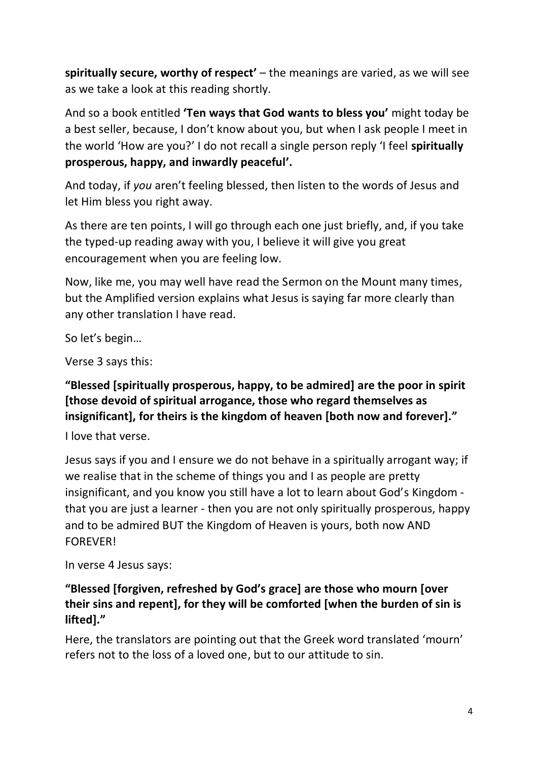**spiritually secure, worthy of respect'** – the meanings are varied, as we will see as we take a look at this reading shortly.

And so a book entitled **'Ten ways that God wants to bless you'** might today be a best seller, because, I don't know about you, but when I ask people I meet in the world 'How are you?' I do not recall a single person reply 'I feel **spiritually prosperous, happy, and inwardly peaceful'.**

And today, if *you* aren't feeling blessed, then listen to the words of Jesus and let Him bless you right away.

As there are ten points, I will go through each one just briefly, and, if you take the typed-up reading away with you, I believe it will give you great encouragement when you are feeling low.

Now, like me, you may well have read the Sermon on the Mount many times, but the Amplified version explains what Jesus is saying far more clearly than any other translation I have read.

So let's begin…

Verse 3 says this:

#### **"Blessed [spiritually prosperous, happy, to be admired] are the poor in spirit [those devoid of spiritual arrogance, those who regard themselves as insignificant], for theirs is the kingdom of heaven [both now and forever]."**

I love that verse.

Jesus says if you and I ensure we do not behave in a spiritually arrogant way; if we realise that in the scheme of things you and I as people are pretty insignificant, and you know you still have a lot to learn about God's Kingdom that you are just a learner - then you are not only spiritually prosperous, happy and to be admired BUT the Kingdom of Heaven is yours, both now AND FOREVER!

In verse 4 Jesus says:

#### **"Blessed [forgiven, refreshed by God's grace] are those who mourn [over their sins and repent], for they will be comforted [when the burden of sin is lifted]."**

Here, the translators are pointing out that the Greek word translated 'mourn' refers not to the loss of a loved one, but to our attitude to sin.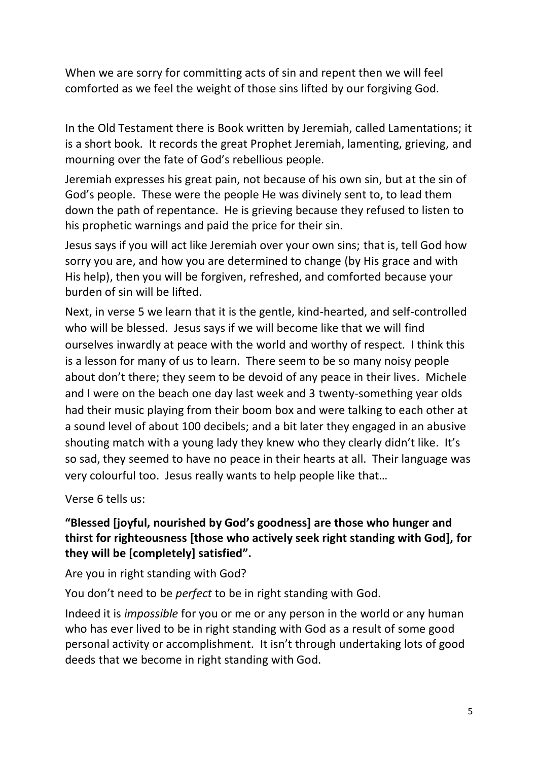When we are sorry for committing acts of sin and repent then we will feel comforted as we feel the weight of those sins lifted by our forgiving God.

In the Old Testament there is Book written by Jeremiah, called Lamentations; it is a short book. It records the great Prophet Jeremiah, lamenting, grieving, and mourning over the fate of God's rebellious people.

Jeremiah expresses his great pain, not because of his own sin, but at the sin of God's people. These were the people He was divinely sent to, to lead them down the path of repentance. He is grieving because they refused to listen to his prophetic warnings and paid the price for their sin.

Jesus says if you will act like Jeremiah over your own sins; that is, tell God how sorry you are, and how you are determined to change (by His grace and with His help), then you will be forgiven, refreshed, and comforted because your burden of sin will be lifted.

Next, in verse 5 we learn that it is the gentle, kind-hearted, and self-controlled who will be blessed. Jesus says if we will become like that we will find ourselves inwardly at peace with the world and worthy of respect. I think this is a lesson for many of us to learn. There seem to be so many noisy people about don't there; they seem to be devoid of any peace in their lives. Michele and I were on the beach one day last week and 3 twenty-something year olds had their music playing from their boom box and were talking to each other at a sound level of about 100 decibels; and a bit later they engaged in an abusive shouting match with a young lady they knew who they clearly didn't like. It's so sad, they seemed to have no peace in their hearts at all. Their language was very colourful too. Jesus really wants to help people like that…

Verse 6 tells us:

#### **"Blessed [joyful, nourished by God's goodness] are those who hunger and thirst for righteousness [those who actively seek right standing with God], for they will be [completely] satisfied".**

Are you in right standing with God?

You don't need to be *perfect* to be in right standing with God.

Indeed it is *impossible* for you or me or any person in the world or any human who has ever lived to be in right standing with God as a result of some good personal activity or accomplishment. It isn't through undertaking lots of good deeds that we become in right standing with God.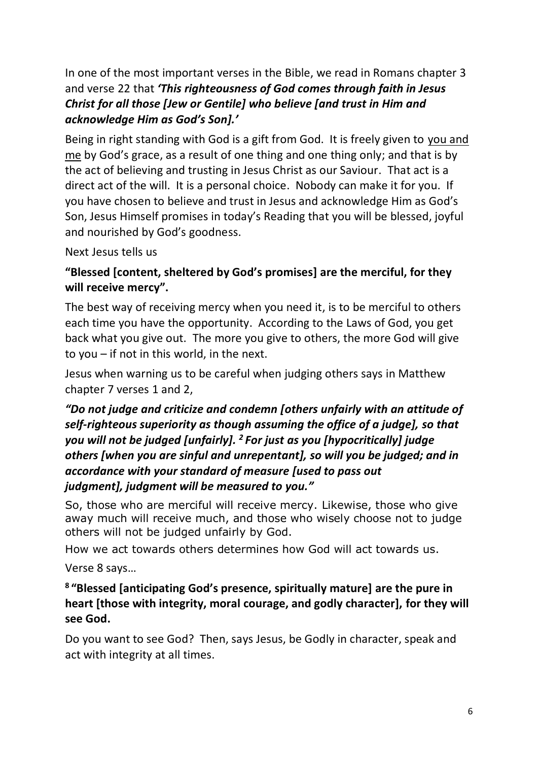In one of the most important verses in the Bible, we read in Romans chapter 3 and verse 22 that *'This righteousness of God comes through faith in Jesus Christ for all those [Jew or Gentile] who believe [and trust in Him and acknowledge Him as God's Son].'*

Being in right standing with God is a gift from God. It is freely given to you and me by God's grace, as a result of one thing and one thing only; and that is by the act of believing and trusting in Jesus Christ as our Saviour. That act is a direct act of the will. It is a personal choice. Nobody can make it for you. If you have chosen to believe and trust in Jesus and acknowledge Him as God's Son, Jesus Himself promises in today's Reading that you will be blessed, joyful and nourished by God's goodness.

Next Jesus tells us

#### **"Blessed [content, sheltered by God's promises] are the merciful, for they will receive mercy".**

The best way of receiving mercy when you need it, is to be merciful to others each time you have the opportunity. According to the Laws of God, you get back what you give out. The more you give to others, the more God will give to you – if not in this world, in the next.

Jesus when warning us to be careful when judging others says in Matthew chapter 7 verses 1 and 2,

#### *"Do not judge and criticize and condemn [others unfairly with an attitude of self-righteous superiority as though assuming the office of a judge], so that you will not be judged [unfairly]. <sup>2</sup> For just as you [hypocritically] judge others [when you are sinful and unrepentant], so will you be judged; and in accordance with your standard of measure [used to pass out judgment], judgment will be measured to you."*

So, those who are merciful will receive mercy. Likewise, those who give away much will receive much, and those who wisely choose not to judge others will not be judged unfairly by God.

How we act towards others determines how God will act towards us.

Verse 8 says…

#### **8 "Blessed [anticipating God's presence, spiritually mature] are the pure in heart [those with integrity, moral courage, and godly character], for they will see God.**

Do you want to see God? Then, says Jesus, be Godly in character, speak and act with integrity at all times.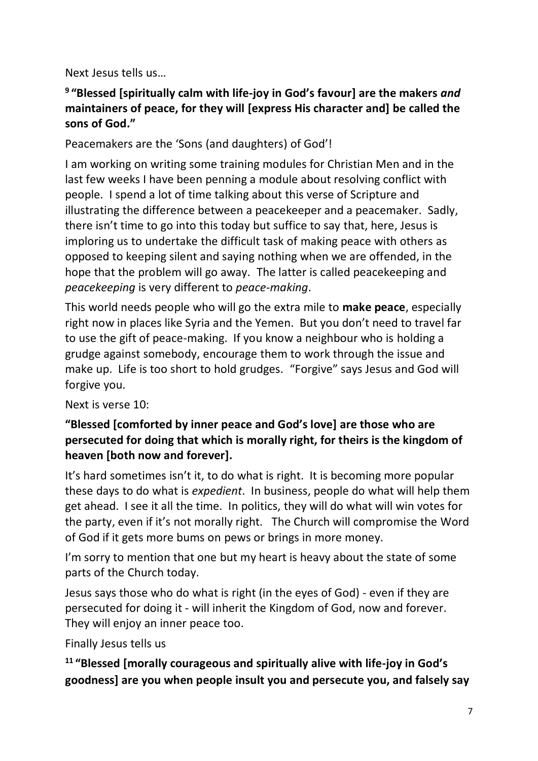Next Jesus tells us…

#### **9 "Blessed [spiritually calm with life-joy in God's favour] are the makers** *and* **maintainers of peace, for they will [express His character and] be called the sons of God."**

Peacemakers are the 'Sons (and daughters) of God'!

I am working on writing some training modules for Christian Men and in the last few weeks I have been penning a module about resolving conflict with people. I spend a lot of time talking about this verse of Scripture and illustrating the difference between a peacekeeper and a peacemaker. Sadly, there isn't time to go into this today but suffice to say that, here, Jesus is imploring us to undertake the difficult task of making peace with others as opposed to keeping silent and saying nothing when we are offended, in the hope that the problem will go away. The latter is called peacekeeping and *peacekeeping* is very different to *peace-making*.

This world needs people who will go the extra mile to **make peace**, especially right now in places like Syria and the Yemen. But you don't need to travel far to use the gift of peace-making. If you know a neighbour who is holding a grudge against somebody, encourage them to work through the issue and make up. Life is too short to hold grudges. "Forgive" says Jesus and God will forgive you.

Next is verse 10:

#### **"Blessed [comforted by inner peace and God's love] are those who are persecuted for doing that which is morally right, for theirs is the kingdom of heaven [both now and forever].**

It's hard sometimes isn't it, to do what is right. It is becoming more popular these days to do what is *expedient*. In business, people do what will help them get ahead. I see it all the time. In politics, they will do what will win votes for the party, even if it's not morally right. The Church will compromise the Word of God if it gets more bums on pews or brings in more money.

I'm sorry to mention that one but my heart is heavy about the state of some parts of the Church today.

Jesus says those who do what is right (in the eyes of God) - even if they are persecuted for doing it - will inherit the Kingdom of God, now and forever. They will enjoy an inner peace too.

Finally Jesus tells us

**<sup>11</sup> "Blessed [morally courageous and spiritually alive with life-joy in God's goodness] are you when people insult you and persecute you, and falsely say**